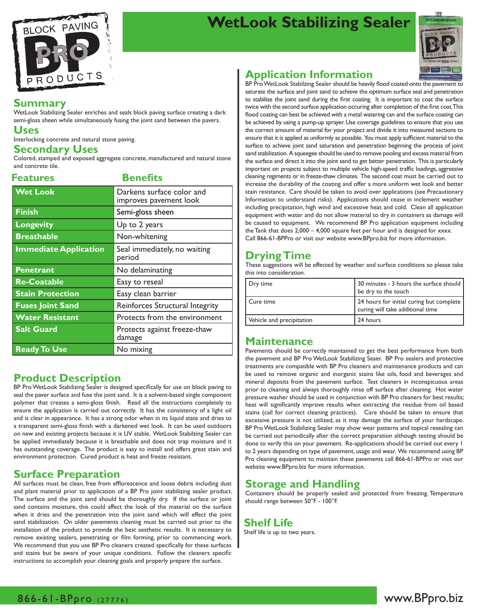

# **WetLook Stabilizing Sealer**



#### **Summary**

WetLook Stabilizing Sealer enriches and seals block paving surface creating a dark semi-gloss sheen while simultaneously fusing the joint sand between the pavers.

#### **Uses**

Interlocking concrete and natural stone paving.

#### **Secondary Uses**

Colored, stamped and exposed aggregate concrete, manufactured and natural stone and concrete tile.

| <b>Features</b>              | <b>Benefits</b>                                     |  |
|------------------------------|-----------------------------------------------------|--|
| <b>Wet Look</b>              | Darkens surface color and<br>improves pavement look |  |
| <b>Finish</b>                | Semi-gloss sheen                                    |  |
| <b>Longevity</b>             | Up to 2 years                                       |  |
| <b>Breathable</b>            | Non-whitening                                       |  |
| <b>Immediate Application</b> | Seal immediately, no waiting<br>period              |  |
| Penetrant                    | No delaminating                                     |  |
| <b>Re-Coatable</b>           | Easy to reseal                                      |  |
| <b>Stain Protection</b>      | Easy clean barrier                                  |  |
| <b>Fuses Joint Sand</b>      | Reinforces Structural Integrity                     |  |
| <b>Water Resistant</b>       | Protects from the environment                       |  |
| <b>Salt Guard</b>            | Protects against freeze-thaw<br>damage              |  |
| <b>Ready To Use</b>          | No mixing                                           |  |

## **Product Description**

BP Pro WetLook Stabilizing Sealer is designed specifically for use on block paving to seal the paver surface and fuse the joint sand. It is a solvent-based single component polymer that creates a semi-gloss finish. Read all the instructions completely to ensure the application is carried out correctly. It has the consistency of a light oil and is clear in appearance. It has a strong odor when in its liquid state and dries to a transparent semi-gloss finish with a darkened wet look. It can be used outdoors on new and existing projects because it is UV stable. WetLook Stabilzing Sealer can be applied immediately because it is breathable and does not trap moisture and it has outstanding coverage. The product is easy to install and offers great stain and environment protection. Cured product is heat and freeze resistant.

## **Surface Preparation**

All surfaces must be clean, free from efflorescence and loose debris including dust and plant material prior to application of a BP Pro joint stabilizing sealer product. The surface and the joint sand should be thoroughly dry. If the surface or joint sand contains moisture, this could affect the look of the material on the surface when it dries and the penetration into the joint sand which will effect the joint sand stabilization. On older pavements cleaning must be carried out prior to the installation of the product to provide the best aesthetic results. It is necessary to remove existing sealers, penetrating or film forming, prior to commencing work. We recommend that you use BP Pro cleaners created specifically for these surfaces and stains but be aware of your unique conditions. Follow the cleaners specific instructions to accomplish your cleaning goals and properly prepare the surface.

## **Application Information**

BP Pro WetLook Stabilzing Sealer should be heavily flood coated onto the pavement to saturate the surface and joint sand to achieve the optimum surface seal and penetration to stabilize the joint sand during the first coating. It is important to coat the surface twice with the second surface application occuring after completion of the first coat. This flood coating can best be achieved with a metal watering can and the surface coating can be achieved by using a pump-up sprayer. Use coverage guidelines to ensure that you use the correct amount of material for your project and divide it into measured sections to ensure that it is applied as uniformly as possible. You must apply sufficient material to the surface to achieve joint sand saturation and penetration beginning the process of joint sand stabilization. A squeegee should be used to remove pooling and excess material from the surface and direct it into the joint sand to get better penetration. This is particularly important on projects subject to multiple vehicle high-speed traffic loadings, aggressive cleaning regiments or in freeze-thaw climates. The second coat must be carried out to increase the durability of the coating and offer a more uniform wet look and better stain resistance. Care should be taken to avoid over applications (see Precautionary Information to understand risks). Applications should cease in inclement weather including precipitation, high wind and excessive heat and cold. Clean all application equipment with water and do not allow material to dry in containers as damage will be caused to equipment. We recommend BP Pro application equipment including the Tank that does  $2,000 - 4,000$  square feet per hour and is designed for  $xxxx$ . Call 866-61-BPPro or visit our website www.BPpro.biz for more information.

## **Drying Time**

These suggestions will be effected by weather and surface conditions so please take this into consideration.

| Dry time                  | 30 minutes - 3 hours the surface should<br>be dry to the touch               |
|---------------------------|------------------------------------------------------------------------------|
| Cure time                 | 24 hours for initial curing but complete<br>curing will take additional time |
| Vehicle and precipitation | 24 hours                                                                     |
|                           |                                                                              |

### **Maintenance**

Pavements should be correctly maintained to get the best performance from both the pavement and BP Pro WetLook Stabilizing Seaer. BP Pro sealers and protective treatments are compatible with BP Pro cleaners and maintenance products and can be used to remove organic and inorganic stains like oils, food and beverages and mineral deposits from the pavement surface. Test cleaners in inconspicuous areas prior to cleaning and always thoroughly rinse off surface after cleaning. Hot water pressure washer should be used in conjunction with BP Pro cleaners for best results; heat will significantly improve results when extracting the residue from oil based stains (call for correct cleaning practices). Care should be taken to ensure that excessive pressure is not utilized, as it may damage the surface of your hardscape. BP Pro WetLook Stabilizing Sealer may show wear patterns and topical resealing can be carried out periodically after the correct preparation although testing should be done to verify this on your pavement. Re-applications should be carried out every 1 to 2 years depending on type of pavement, usage and wear. We recommend using BP Pro cleaning equipment to maintain these pavements call 866-61-BPPro or visit our website www.BPpro.biz for more information.

### **Storage and Handling**

Containers should be properly sealed and protected from freezing. Temperature should range between 50°F - 100°F.

#### **Shelf Life**

Shelf life is up to two years.